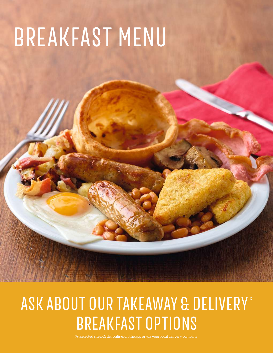# BREAKFAST MENU

# ASK ABOUT OUR TAKEAWAY & DELIVERY\* BREAKFAST OPTIONS

\*At selected sites. Order online, on the app or via your local delivery company.